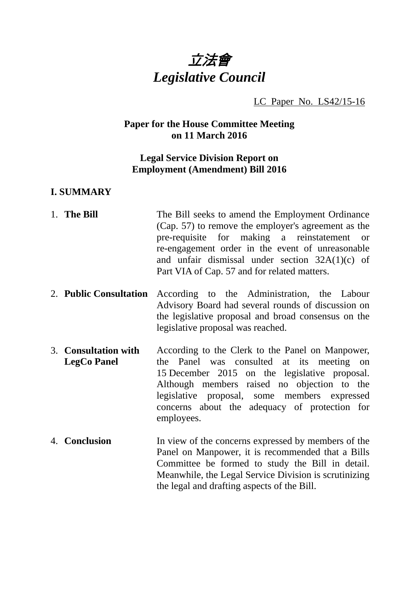

LC Paper No. LS42/15-16

# **Paper for the House Committee Meeting on 11 March 2016**

# **Legal Service Division Report on Employment (Amendment) Bill 2016**

### **I. SUMMARY**

- 1. **The Bill** The Bill seeks to amend the Employment Ordinance (Cap. 57) to remove the employer's agreement as the pre-requisite for making a reinstatement or re-engagement order in the event of unreasonable and unfair dismissal under section 32A(1)(c) of Part VIA of Cap. 57 and for related matters.
- 2. **Public Consultation** According to the Administration, the Labour Advisory Board had several rounds of discussion on the legislative proposal and broad consensus on the legislative proposal was reached.
- 3. **Consultation with LegCo Panel** According to the Clerk to the Panel on Manpower, the Panel was consulted at its meeting on 15 December 2015 on the legislative proposal. Although members raised no objection to the legislative proposal, some members expressed concerns about the adequacy of protection for employees.
- 4. **Conclusion** In view of the concerns expressed by members of the Panel on Manpower, it is recommended that a Bills Committee be formed to study the Bill in detail. Meanwhile, the Legal Service Division is scrutinizing the legal and drafting aspects of the Bill.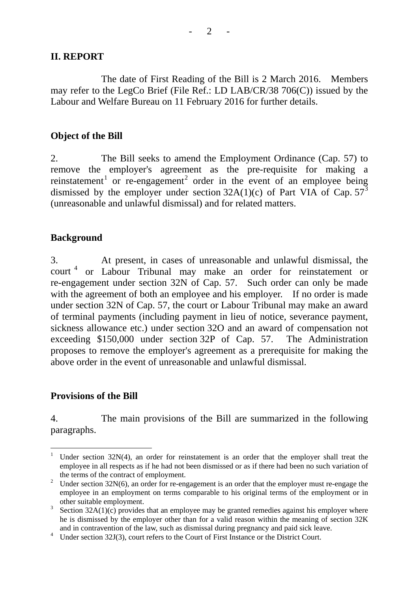### **II. REPORT**

The date of First Reading of the Bill is 2 March 2016. Members may refer to the LegCo Brief (File Ref.: LD LAB/CR/38 706(C)) issued by the Labour and Welfare Bureau on 11 February 2016 for further details.

#### **Object of the Bill**

2. The Bill seeks to amend the Employment Ordinance (Cap. 57) to remove the employer's agreement as the pre-requisite for making a reinstatement<sup>[1](#page-1-0)</sup> or re-engagement<sup>[2](#page-1-1)</sup> order in the event of an employee being dismissed by the employer under section  $32A(1)(c)$  $32A(1)(c)$  of Part VIA of Cap.  $57<sup>3</sup>$ (unreasonable and unlawful dismissal) and for related matters.

#### **Background**

3. At present, in cases of unreasonable and unlawful dismissal, the court<sup>[4](#page-1-3)</sup> or Labour Tribunal may make an order for reinstatement or re-engagement under section 32N of Cap. 57. Such order can only be made with the agreement of both an employee and his employer. If no order is made under section 32N of Cap. 57, the court or Labour Tribunal may make an award of terminal payments (including payment in lieu of notice, severance payment, sickness allowance etc.) under section 32O and an award of compensation not exceeding \$150,000 under section 32P of Cap. 57. The Administration proposes to remove the employer's agreement as a prerequisite for making the above order in the event of unreasonable and unlawful dismissal.

### **Provisions of the Bill**

4. The main provisions of the Bill are summarized in the following paragraphs.

<span id="page-1-0"></span>Under section 32N(4), an order for reinstatement is an order that the employer shall treat the employee in all respects as if he had not been dismissed or as if there had been no such variation of the terms of the contract of employment.

<span id="page-1-1"></span><sup>&</sup>lt;sup>2</sup> Under section  $32N(6)$ , an order for re-engagement is an order that the employer must re-engage the employee in an employment on terms comparable to his original terms of the employment or in other suitable employment.

<span id="page-1-2"></span> $3\text{ Section }32\text{A}(1)(c)$  provides that an employee may be granted remedies against his employer where he is dismissed by the employer other than for a valid reason within the meaning of section 32K and in contravention of the law, such as dismissal during pregnancy and paid sick leave.

<span id="page-1-3"></span><sup>&</sup>lt;sup>4</sup> Under section 32J(3), court refers to the Court of First Instance or the District Court.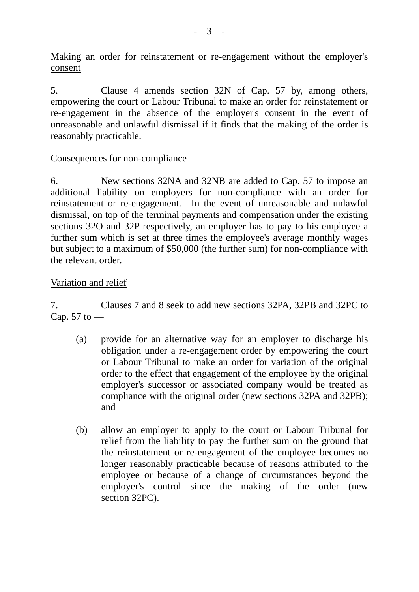Making an order for reinstatement or re-engagement without the employer's consent

5. Clause 4 amends section 32N of Cap. 57 by, among others, empowering the court or Labour Tribunal to make an order for reinstatement or re-engagement in the absence of the employer's consent in the event of unreasonable and unlawful dismissal if it finds that the making of the order is reasonably practicable.

## Consequences for non-compliance

6. New sections 32NA and 32NB are added to Cap. 57 to impose an additional liability on employers for non-compliance with an order for reinstatement or re-engagement. In the event of unreasonable and unlawful dismissal, on top of the terminal payments and compensation under the existing sections 32O and 32P respectively, an employer has to pay to his employee a further sum which is set at three times the employee's average monthly wages but subject to a maximum of \$50,000 (the further sum) for non-compliance with the relevant order.

# Variation and relief

7. Clauses 7 and 8 seek to add new sections 32PA, 32PB and 32PC to Cap. 57 to  $-$ 

- (a) provide for an alternative way for an employer to discharge his obligation under a re-engagement order by empowering the court or Labour Tribunal to make an order for variation of the original order to the effect that engagement of the employee by the original employer's successor or associated company would be treated as compliance with the original order (new sections 32PA and 32PB); and
- (b) allow an employer to apply to the court or Labour Tribunal for relief from the liability to pay the further sum on the ground that the reinstatement or re-engagement of the employee becomes no longer reasonably practicable because of reasons attributed to the employee or because of a change of circumstances beyond the employer's control since the making of the order (new section 32PC).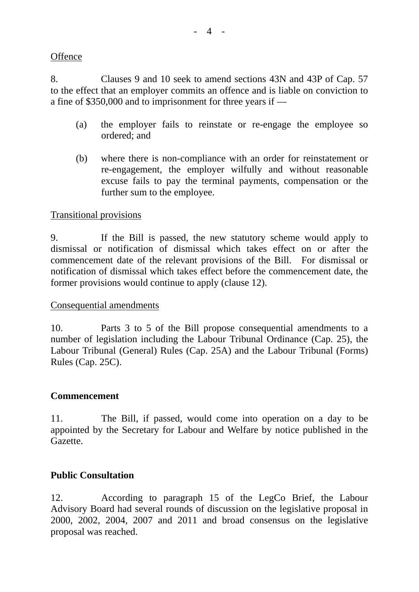### **Offence**

8. Clauses 9 and 10 seek to amend sections 43N and 43P of Cap. 57 to the effect that an employer commits an offence and is liable on conviction to a fine of \$350,000 and to imprisonment for three years if —

- (a) the employer fails to reinstate or re-engage the employee so ordered; and
- (b) where there is non-compliance with an order for reinstatement or re-engagement, the employer wilfully and without reasonable excuse fails to pay the terminal payments, compensation or the further sum to the employee.

### Transitional provisions

9. If the Bill is passed, the new statutory scheme would apply to dismissal or notification of dismissal which takes effect on or after the commencement date of the relevant provisions of the Bill. For dismissal or notification of dismissal which takes effect before the commencement date, the former provisions would continue to apply (clause 12).

### Consequential amendments

10. Parts 3 to 5 of the Bill propose consequential amendments to a number of legislation including the Labour Tribunal Ordinance (Cap. 25), the Labour Tribunal (General) Rules (Cap. 25A) and the Labour Tribunal (Forms) Rules (Cap. 25C).

### **Commencement**

11. The Bill, if passed, would come into operation on a day to be appointed by the Secretary for Labour and Welfare by notice published in the Gazette.

### **Public Consultation**

12. According to paragraph 15 of the LegCo Brief, the Labour Advisory Board had several rounds of discussion on the legislative proposal in 2000, 2002, 2004, 2007 and 2011 and broad consensus on the legislative proposal was reached.